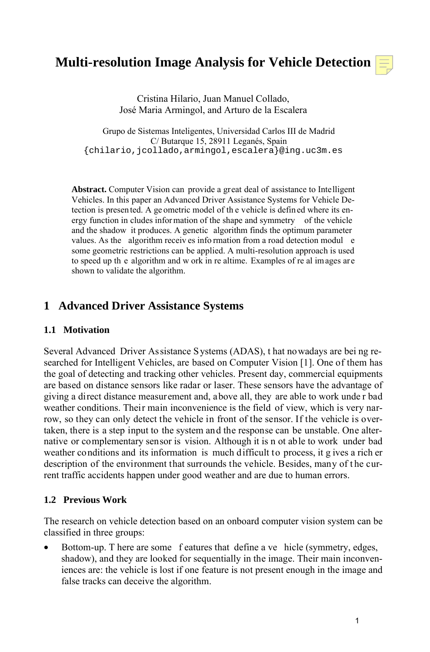# **Multi-resolution Image Analysis for Vehicle Detection**



Cristina Hilario, Juan Manuel Collado, José Maria Armingol, and Arturo de la Escalera

Grupo de Sistemas Inteligentes, Universidad Carlos III de Madrid C/ Butarque 15, 28911 Leganés, Spain {chilario,jcollado,armingol,escalera}@ing.uc3m.es

**Abstract.** Computer Vision can provide a great deal of assistance to Intelligent Vehicles. In this paper an Advanced Driver Assistance Systems for Vehicle Detection is presen ted. A ge ometric model of th e vehicle is defin ed where its energy function in cludes infor mation of the shape and symmetry of the vehicle and the shadow it produces. A genetic algorithm finds the optimum parameter values. As the algorithm receiv es info rmation from a road detection modul e some geometric restrictions can be applied. A multi-resolution approach is used to speed up th e algorithm and w ork in re altime. Examples of re al images are shown to validate the algorithm.

## **1 Advanced Driver Assistance Systems**

### **1.1 Motivation**

Several Advanced Driver Assistance Systems (ADAS), t hat nowadays are bei ng researched for Intelligent Vehicles, are based on Computer Vision [1]. One of them has the goal of detecting and tracking other vehicles. Present day, commercial equipments are based on distance sensors like radar or laser. These sensors have the advantage of giving a direct distance measurement and, above all, they are able to work unde r bad weather conditions. Their main inconvenience is the field of view, which is very narrow, so they can only detect the vehicle in front of the sensor. If the vehicle is overtaken, there is a step input to the system and the response can be unstable. One alternative or complementary sensor is vision. Although it is n ot able to work under bad weather conditions and its information is much difficult to process, it g ives a rich er description of the environment that surrounds the vehicle. Besides, many of t he current traffic accidents happen under good weather and are due to human errors.

### **1.2 Previous Work**

The research on vehicle detection based on an onboard computer vision system can be classified in three groups:

• Bottom-up. T here are some f eatures that define a ve hicle (symmetry, edges, shadow), and they are looked for sequentially in the image. Their main inconveniences are: the vehicle is lost if one feature is not present enough in the image and false tracks can deceive the algorithm.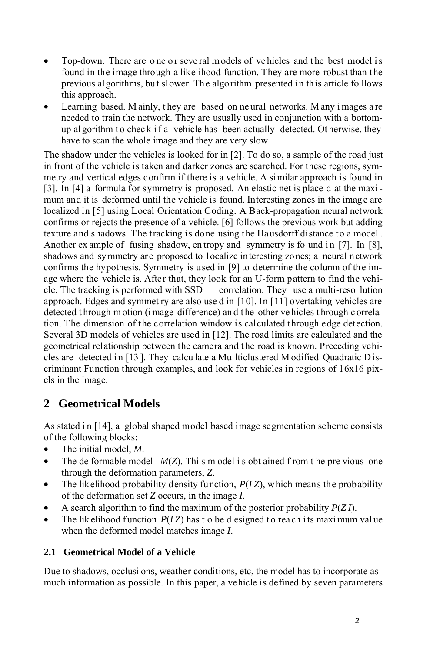- Top-down. There are one or several models of ve hicles and the best model is found in the image through a likelihood function. They are more robust than the previous algorithms, but slower. The algo rithm presented in this article fo llows this approach.
- Learning based. M ainly, t hey are based on ne ural networks. M any i mages a re needed to train the network. They are usually used in conjunction with a bottomup al gorithm t o chec k i f a vehicle has been actually detected. Ot herwise, they have to scan the whole image and they are very slow

The shadow under the vehicles is looked for in [2]. To do so, a sample of the road just in front of the vehicle is taken and darker zones are searched. For these regions, symmetry and vertical edges confirm if there is a vehicle. A similar approach is found in [3]. In [4] a formula for symmetry is proposed. An elastic net is place d at the maximum and it is deformed until the vehicle is found. Interesting zones in the image are localized in [5] using Local Orientation Coding. A Back-propagation neural network confirms or rejects the presence of a vehicle. [6] follows the previous work but adding texture and shadows. The tracking is done using the Hausdorff distance to a model . Another ex ample of fusing shadow, en tropy and symmetry is fo und in  $[7]$ . In  $[8]$ , shadows and symmetry are proposed to localize interesting zones; a neural network confirms the hypothesis. Symmetry is used in [9] to determine the column of the image where the vehicle is. After that, they look for an U-form pattern to find the vehicle. The tracking is performed with SSD correlation. They use a multi-reso lution approach. Edges and symmet ry are also use d in [10]. In [11] overtaking vehicles are detected t hrough m otion (i mage difference) an d t he other ve hicles t hrough c orrelation. The dimension of the correlation window is calculated through edge detection. Several 3D models of vehicles are used in [12]. The road limits are calculated and the geometrical relationship between the camera and t he road is known. Preceding vehicles are detected i n [13 ]. They calcu late a Mu lticlustered M odified Quadratic D iscriminant Function through examples, and look for vehicles in regions of 16x16 pixels in the image.

## **2 Geometrical Models**

As stated in [14], a global shaped model based image segmentation scheme consists of the following blocks:

- The initial model, *M*.
- The de formable model  $M(Z)$ . This m odel is obt ained f rom the pre vious one through the deformation parameters, *Z*.
- The likelihood probability density function, *P*(*I*|*Z*), which means the probability of the deformation set *Z* occurs, in the image *I*.
- A search algorithm to find the maximum of the posterior probability *P*(*Z*|*I*).
- The lik elihood function  $P(I|Z)$  has to be d esigned to reach its maximum value when the deformed model matches image *I*.

## **2.1 Geometrical Model of a Vehicle**

Due to shadows, occlusi ons, weather conditions, etc, the model has to incorporate as much information as possible. In this paper, a vehicle is defined by seven parameters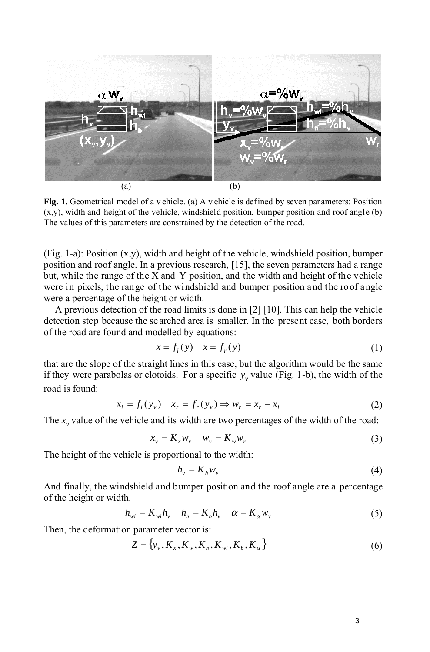

**Fig. 1.** Geometrical model of a v ehicle. (a) A v ehicle is defined by seven parameters: Position  $(x,y)$ , width and height of the vehicle, windshield position, bumper position and roof angle (b) The values of this parameters are constrained by the detection of the road.

 $(Fig. 1-a)$ : Position  $(x,y)$ , width and height of the vehicle, windshield position, bumper position and roof angle. In a previous research, [15], the seven parameters had a range but, while the range of the X and Y position, and the width and height of the vehicle were in pixels, the range of the windshield and bumper position and the roof angle were a percentage of the height or width.

A previous detection of the road limits is done in [2] [10]. This can help the vehicle detection step because the se arched area is smaller. In the present case, both borders of the road are found and modelled by equations:

$$
x = ft(y) \quad x = fr(y)
$$
 (1)

that are the slope of the straight lines in this case, but the algorithm would be the same if they were parabolas or clotoids. For a specific  $y<sub>v</sub>$  value (Fig. 1-b), the width of the road is found:

$$
x_l = f_l(y_v) \quad x_r = f_r(y_v) \Rightarrow w_r = x_r - x_l \tag{2}
$$

The  $x<sub>v</sub>$  value of the vehicle and its width are two percentages of the width of the road:

$$
x_v = K_x w_r \qquad w_v = K_w w_r \tag{3}
$$

The height of the vehicle is proportional to the width:

$$
h_{\nu} = K_h w_{\nu} \tag{4}
$$

And finally, the windshield and bumper position and the roof angle are a percentage of the height or width.

$$
h_{wi} = K_{wi}h_{v} \quad h_{b} = K_{b}h_{v} \quad \alpha = K_{\alpha}w_{v}
$$
\n<sup>(5)</sup>

Then, the deformation parameter vector is:

$$
Z = \{y_v, K_x, K_w, K_h, K_{wi}, K_b, K_{\alpha}\}\
$$
 (6)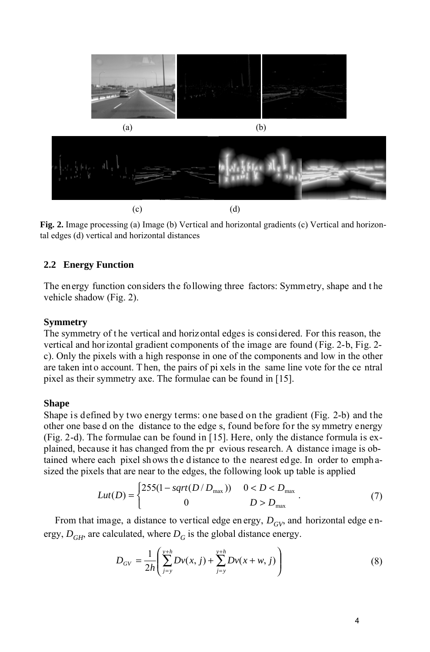

**Fig. 2.** Image processing (a) Image (b) Vertical and horizontal gradients (c) Vertical and horizontal edges (d) vertical and horizontal distances

#### **2.2 Energy Function**

The energy function considers the following three factors: Symmetry, shape and t he vehicle shadow (Fig. 2).

#### **Symmetry**

The symmetry of t he vertical and horizontal edges is considered. For this reason, the vertical and hor izontal gradient components of the image are found (Fig. 2-b, Fig. 2 c). Only the pixels with a high response in one of the components and low in the other are taken int o account. T hen, the pairs of pi xels in the same line vote for the ce ntral pixel as their symmetry axe. The formulae can be found in [15].

#### **Shape**

Shape is defined by two energy terms: one based on the gradient (Fig. 2-b) and the other one base d on the distance to the edge s, found before for the sy mmetry energy (Fig. 2-d). The formulae can be found in [15]. Here, only the distance formula is explained, because it has changed from the pr evious research. A distance image is obtained where each pixel shows the distance to the nearest edge. In order to emphasized the pixels that are near to the edges, the following look up table is applied

$$
Lut(D) = \begin{cases} 255(1 - sqrt(D/D_{\text{max}})) & 0 < D < D_{\text{max}} \\ 0 & D > D_{\text{max}} \end{cases}.
$$
 (7)

From that image, a distance to vertical edge energy,  $D_{GV}$ , and horizontal edge energy,  $D_{GH}$ , are calculated, where  $D_G$  is the global distance energy.

$$
D_{GV} = \frac{1}{2h} \left( \sum_{j=y}^{y+h} Dv(x,j) + \sum_{j=y}^{y+h} Dv(x+w,j) \right)
$$
 (8)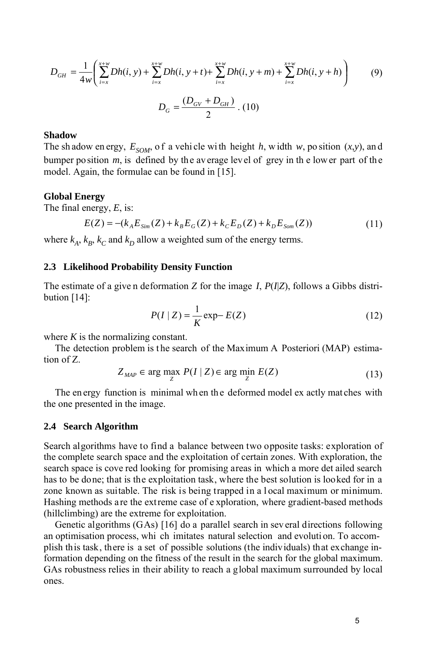$$
D_{GH} = \frac{1}{4w} \left( \sum_{i=x}^{x+w} Dh(i, y) + \sum_{i=x}^{x+w} Dh(i, y+t) + \sum_{i=x}^{x+w} Dh(i, y+m) + \sum_{i=x}^{x+w} Dh(i, y+h) \right)
$$
(9)  

$$
D_G = \frac{(D_{GV} + D_{GH})}{2} \cdot (10)
$$

#### **Shadow**

The sh adow en ergy,  $E_{SOM}$ , of a vehicle with height *h*, width *w*, position (*x*,*y*), and bumper position  $m$ , is defined by the average level of grey in the lower part of the model. Again, the formulae can be found in [15].

#### **Global Energy**

The final energy, *E*, is:

$$
E(Z) = -(k_A E_{\text{Sim}}(Z) + k_B E_G(Z) + k_C E_D(Z) + k_D E_{\text{Som}}(Z))
$$
\n(11)

where  $k_A$ ,  $k_B$ ,  $k_C$  and  $k_D$  allow a weighted sum of the energy terms.

#### **2.3 Likelihood Probability Density Function**

The estimate of a give n deformation *Z* for the image *I*, *P*(*I*|*Z*), follows a Gibbs distribution [14]:

$$
P(I \mid Z) = \frac{1}{K} \exp{-E(Z)}\tag{12}
$$

where  $K$  is the normalizing constant.

The detection problem is the search of the Maximum A Posteriori (MAP) estimation of Z.

$$
Z_{MAP} \in \arg\max_{Z} P(I \mid Z) \in \arg\min_{Z} E(Z) \tag{13}
$$

The energy function is minimal when the deformed model ex actly matches with the one presented in the image.

#### **2.4 Search Algorithm**

Search algorithms have to find a balance between two opposite tasks: exploration of the complete search space and the exploitation of certain zones. With exploration, the search space is cove red looking for promising areas in which a more det ailed search has to be done; that is the exploitation task, where the best solution is looked for in a zone known as suitable. The risk is being trapped in a l ocal maximum or minimum. Hashing methods are the extreme case of e xploration, where gradient-based methods (hillclimbing) are the extreme for exploitation.

Genetic algorithms (GAs) [16] do a parallel search in sev eral directions following an optimisation process, whi ch imitates natural selection and evoluti on. To accomplish this task, there is a set of possible solutions (the individuals) that exchange information depending on the fitness of the result in the search for the global maximum. GAs robustness relies in their ability to reach a global maximum surrounded by local ones.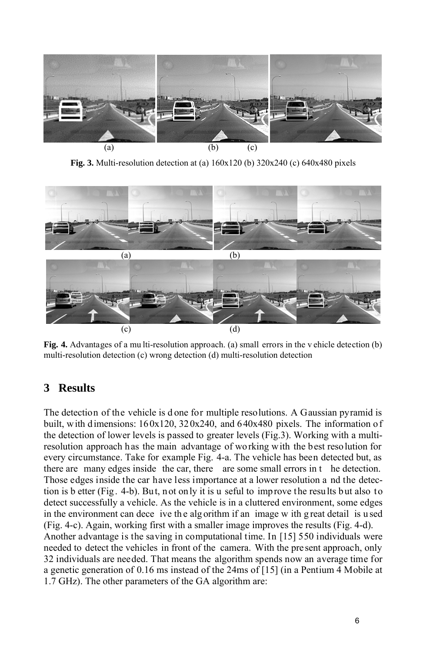

**Fig. 3.** Multi-resolution detection at (a) 160x120 (b) 320x240 (c) 640x480 pixels



**Fig. 4.** Advantages of a mu lti-resolution approach. (a) small errors in the v ehicle detection (b) multi-resolution detection (c) wrong detection (d) multi-resolution detection

## **3 Results**

The detection of the vehicle is d one for multiple resolutions. A Gaussian pyramid is built, with dimensions: 160x120, 320x240, and 640x480 pixels. The information of the detection of lower levels is passed to greater levels (Fig.3). Working with a multiresolution approach has the main advantage of working with the best resolution for every circumstance. Take for example Fig. 4-a. The vehicle has been detected but, as there are many edges inside the car, there are some small errors in t he detection. Those edges inside the car have less importance at a lower resolution a nd the detection is b etter (Fig. 4-b). But, not only it is u seful to improve the results but also to detect successfully a vehicle. As the vehicle is in a cluttered environment, some edges in the environment can dece ive th e alg orithm if an image w ith g reat detail is u sed (Fig. 4-c). Again, working first with a smaller image improves the results (Fig. 4-d). Another advantage is the saving in computational time. In [15] 550 individuals were needed to detect the vehicles in front of the camera. With the present approach, only 32 individuals are needed. That means the algorithm spends now an average time for a genetic generation of 0.16 ms instead of the 24ms of [15] (in a Pentium 4 Mobile at 1.7 GHz). The other parameters of the GA algorithm are: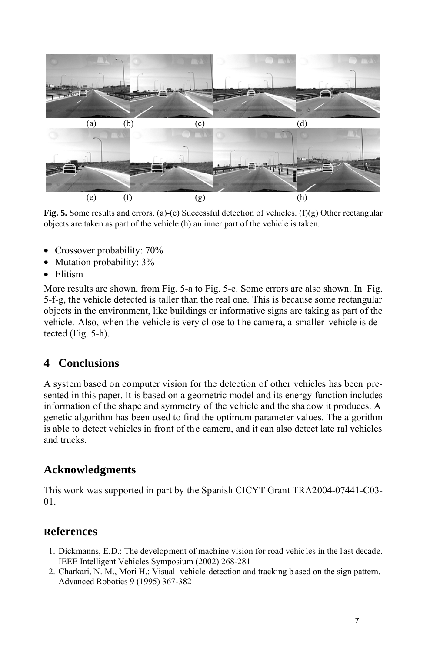

**Fig. 5.** Some results and errors. (a)-(e) Successful detection of vehicles. (f)(g) Other rectangular objects are taken as part of the vehicle (h) an inner part of the vehicle is taken.

- Crossover probability: 70%
- Mutation probability:  $3\%$
- Elitism

More results are shown, from Fig. 5-a to Fig. 5-e. Some errors are also shown. In Fig. 5-f-g, the vehicle detected is taller than the real one. This is because some rectangular objects in the environment, like buildings or informative signs are taking as part of the vehicle. Also, when the vehicle is very cl ose to t he camera, a smaller vehicle is de tected (Fig. 5-h).

## **4 Conclusions**

A system based on computer vision for the detection of other vehicles has been presented in this paper. It is based on a geometric model and its energy function includes information of the shape and symmetry of the vehicle and the sha dow it produces. A genetic algorithm has been used to find the optimum parameter values. The algorithm is able to detect vehicles in front of the camera, and it can also detect late ral vehicles and trucks.

## **Acknowledgments**

This work was supported in part by the Spanish CICYT Grant TRA2004-07441-C03- 01.

## **References**

- 1. Dickmanns, E.D.: The development of machine vision for road vehicles in the last decade. IEEE Intelligent Vehicles Symposium (2002) 268-281
- 2. Charkari, N. M., Mori H.: Visual vehicle detection and tracking b ased on the sign pattern. Advanced Robotics 9 (1995) 367-382